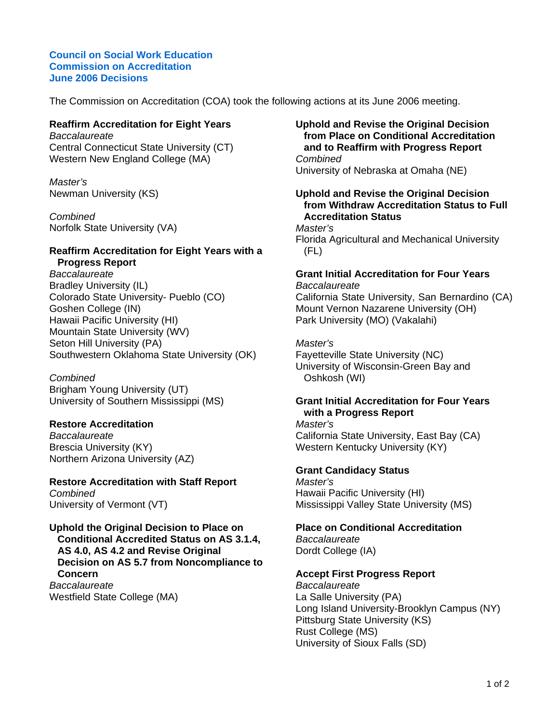#### **Council on Social Work Education Commission on Accreditation June 2006 Decisions**

The Commission on Accreditation (COA) took the following actions at its June 2006 meeting.

## **Reaffirm Accreditation for Eight Years**

*Baccalaureate* Central Connecticut State University (CT) Western New England College (MA)

*Master's* Newman University (KS)

*Combined* Norfolk State University (VA)

## **Reaffirm Accreditation for Eight Years with a Progress Report**

*Baccalaureate* Bradley University (IL) Colorado State University- Pueblo (CO) Goshen College (IN) Hawaii Pacific University (HI) Mountain State University (WV) Seton Hill University (PA) Southwestern Oklahoma State University (OK)

*Combined*

Brigham Young University (UT) University of Southern Mississippi (MS)

# **Restore Accreditation**

*Baccalaureate* Brescia University (KY) Northern Arizona University (AZ)

# **Restore Accreditation with Staff Report** *Combined*

University of Vermont (VT)

**Uphold the Original Decision to Place on Conditional Accredited Status on AS 3.1.4, AS 4.0, AS 4.2 and Revise Original Decision on AS 5.7 from Noncompliance to Concern** *Baccalaureate* Westfield State College (MA)

### **Uphold and Revise the Original Decision from Place on Conditional Accreditation and to Reaffirm with Progress Report** *Combined* University of Nebraska at Omaha (NE)

### **Uphold and Revise the Original Decision from Withdraw Accreditation Status to Full Accreditation Status**

*Master's* Florida Agricultural and Mechanical University (FL)

# **Grant Initial Accreditation for Four Years**

*Baccalaureate* California State University, San Bernardino (CA) Mount Vernon Nazarene University (OH) Park University (MO) (Vakalahi)

## *Master's*

Fayetteville State University (NC) University of Wisconsin-Green Bay and Oshkosh (WI)

### **Grant Initial Accreditation for Four Years with a Progress Report**

*Master's* California State University, East Bay (CA) Western Kentucky University (KY)

# **Grant Candidacy Status**

*Master's* Hawaii Pacific University (HI) Mississippi Valley State University (MS)

# **Place on Conditional Accreditation**

*Baccalaureate* Dordt College (IA)

# **Accept First Progress Report**

*Baccalaureate* La Salle University (PA) Long Island University-Brooklyn Campus (NY) Pittsburg State University (KS) Rust College (MS) University of Sioux Falls (SD)